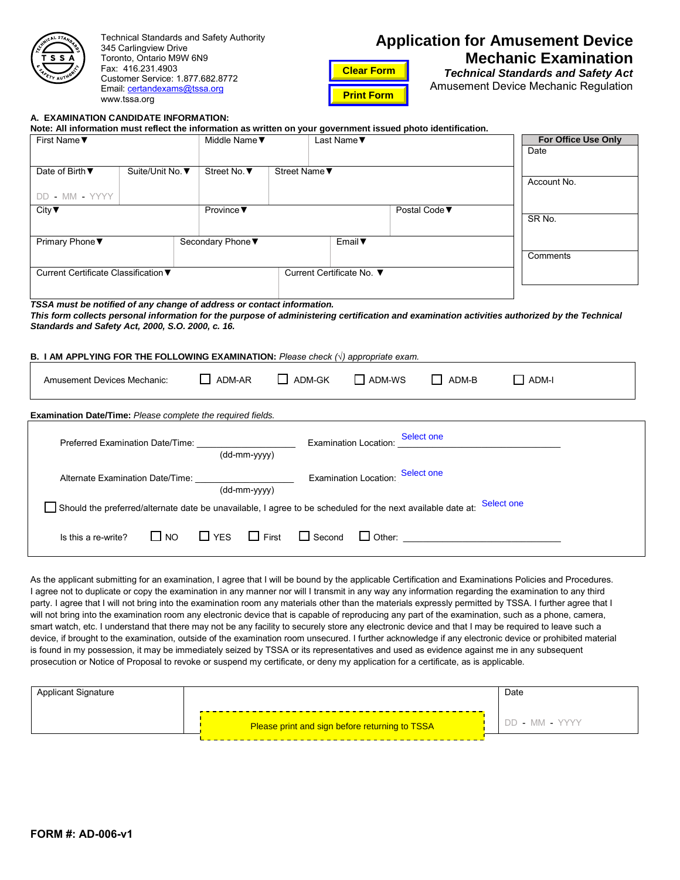| <b>FAUTHORY</b><br><b>AFE</b> |
|-------------------------------|
|-------------------------------|

Technical Standards and Safety Authority 345 Carlingview Drive Toronto, Ontario M9W 6N9 Fax: 416.231.4903 Customer Service: 1.877.682.8772 Email: certandexams[@tssa.org](mailto:certandexams@tssa.org) www.tssa.org

**A. EXAMINATION CANDIDATE INFORMATION:**

# **Application for Amusement Device Mechanic Examination**

**Clear Form Print Form**

*Technical Standards and Safety Act* Amusement Device Mechanic Regulation

### **Note: All information must reflect the information as written on your government issued photo identification.** First Name▼ The Test Name▼ Riddle Name▼ The Last Name▼ Date of Birth ▼ DD - MM - YYYY Suite/Unit No. ▼ Street No. ▼ Street Name City▼ Province▼ Postal Code▼ Primary Phone ▼ Secondary Phone ▼ Email ▼ Current Certificate Classification▼ Current Certificate No. ▼ *TSSA must be notified of any change of address or contact information.* **For Office Use Only** Date Account No. SR No. **Comments**

*This form collects personal information for the purpose of administering certification and examination activities authorized by the Technical Standards and Safety Act, 2000, S.O. 2000, c. 16.*

#### **B. I AM APPLYING FOR THE FOLLOWING EXAMINATION:** *Please check (√) appropriate exam.*

| <b>Amusement Devices Mechanic:</b>                                                                                                                                                                                                                                                                                                                                                                                                                                                                                                                                                                                                                                                                                                                                                                                                                                                                                                                                                                                                                                                                                                                                                                                                      | ADM-AR                       | ADM-GK        | $\Box$ ADM-WS                                  | ADM-B                             | ADM-I          |
|-----------------------------------------------------------------------------------------------------------------------------------------------------------------------------------------------------------------------------------------------------------------------------------------------------------------------------------------------------------------------------------------------------------------------------------------------------------------------------------------------------------------------------------------------------------------------------------------------------------------------------------------------------------------------------------------------------------------------------------------------------------------------------------------------------------------------------------------------------------------------------------------------------------------------------------------------------------------------------------------------------------------------------------------------------------------------------------------------------------------------------------------------------------------------------------------------------------------------------------------|------------------------------|---------------|------------------------------------------------|-----------------------------------|----------------|
| Examination Date/Time: Please complete the required fields.                                                                                                                                                                                                                                                                                                                                                                                                                                                                                                                                                                                                                                                                                                                                                                                                                                                                                                                                                                                                                                                                                                                                                                             |                              |               |                                                |                                   |                |
|                                                                                                                                                                                                                                                                                                                                                                                                                                                                                                                                                                                                                                                                                                                                                                                                                                                                                                                                                                                                                                                                                                                                                                                                                                         | (dd-mm-yyyy)                 |               | <b>Examination Location:</b>                   | Select one                        |                |
| Alternate Examination Date/Time: Value Alternate Examination Date/Time:                                                                                                                                                                                                                                                                                                                                                                                                                                                                                                                                                                                                                                                                                                                                                                                                                                                                                                                                                                                                                                                                                                                                                                 | (dd-mm-yyyy)                 |               | <b>Examination Location:</b>                   | Select one                        |                |
| ∫Should the preferred/alternate date be unavailable, I agree to be scheduled for the next available date at: Select one                                                                                                                                                                                                                                                                                                                                                                                                                                                                                                                                                                                                                                                                                                                                                                                                                                                                                                                                                                                                                                                                                                                 |                              |               |                                                |                                   |                |
| $\Box$ NO<br>Is this a re-write?                                                                                                                                                                                                                                                                                                                                                                                                                                                                                                                                                                                                                                                                                                                                                                                                                                                                                                                                                                                                                                                                                                                                                                                                        | <b>T</b> YES<br>$\Box$ First | $\Box$ Second |                                                | □ Other: <u>_______________</u> _ |                |
| As the applicant submitting for an examination, I agree that I will be bound by the applicable Certification and Examinations Policies and Procedures.<br>I agree not to duplicate or copy the examination in any manner nor will I transmit in any way any information regarding the examination to any third<br>party. I agree that I will not bring into the examination room any materials other than the materials expressly permitted by TSSA. I further agree that I<br>will not bring into the examination room any electronic device that is capable of reproducing any part of the examination, such as a phone, camera,<br>smart watch, etc. I understand that there may not be any facility to securely store any electronic device and that I may be required to leave such a<br>device, if brought to the examination, outside of the examination room unsecured. I further acknowledge if any electronic device or prohibited material<br>is found in my possession, it may be immediately seized by TSSA or its representatives and used as evidence against me in any subsequent<br>prosecution or Notice of Proposal to revoke or suspend my certificate, or deny my application for a certificate, as is applicable. |                              |               |                                                |                                   |                |
| <b>Applicant Signature</b>                                                                                                                                                                                                                                                                                                                                                                                                                                                                                                                                                                                                                                                                                                                                                                                                                                                                                                                                                                                                                                                                                                                                                                                                              |                              |               |                                                |                                   | Date           |
|                                                                                                                                                                                                                                                                                                                                                                                                                                                                                                                                                                                                                                                                                                                                                                                                                                                                                                                                                                                                                                                                                                                                                                                                                                         |                              |               | Please print and sign before returning to TSSA |                                   | DD - MM - YYYY |

| Applicant Signature |                                                | Date           |
|---------------------|------------------------------------------------|----------------|
|                     | Please print and sign before returning to TSSA | DD - MM - YYYY |
|                     |                                                |                |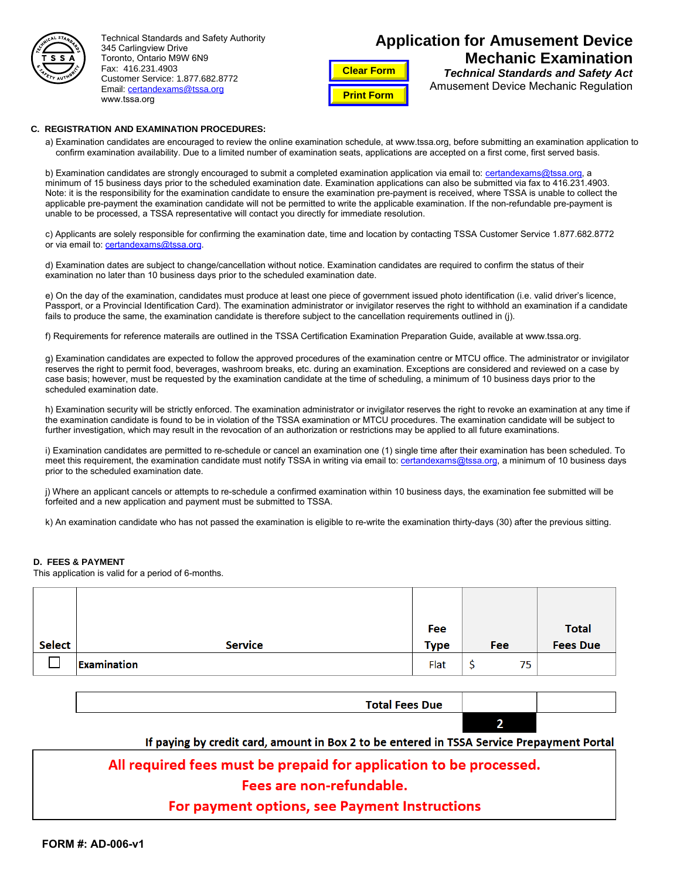

Technical Standards and Safety Authority 345 Carlingview Drive Toronto, Ontario M9W 6N9 Fax: 416.231.4903 Customer Service: 1.877.682.8772 Email: certandexams[@tssa.org](mailto:certandexams@tssa.org) www.tssa.org

# **Application for Amusement Device Mechanic Examination**

**Clear Form Print Form**

*Technical Standards and Safety Act* Amusement Device Mechanic Regulation

#### **C. REGISTRATION AND EXAMINATION PROCEDURES:**

a) Examination candidates are encouraged to review the online examination schedule, at www.tssa.org, before submitting an examination application to confirm examination availability. Due to a limited number of examination seats, applications are accepted on a first come, first served basis.

b) Examination candidates are strongly encouraged to submit a completed examination application via email to: certandexams@tssa.org, a minimum of 15 business days prior to the scheduled examination date. Examination applications can also be s[ubmitted via fax to 416.231](mailto:certandexams@tssa.org).4903. Note: it is the responsibility for the examination candidate to ensure the examination pre-payment is received, where TSSA is unable to collect the applicable pre-payment the examination candidate will not be permitted to write the applicable examination. If the non-refundable pre-payment is unable to be processed, a TSSA representative will contact you directly for immediate resolution.

c) Applicants are solely responsible for confirming the examination date, time and location by contacting TSSA Customer Service 1.877.682.8772 or via email to: certandexams[@tssa.org.](mailto:certandexams@tssa.org)

d) Examination dates are subject to change/cancellation without notice. Examination candidates are required to confirm the status of their examination no later than 10 business days prior to the scheduled examination date.

e) On the day of the examination, candidates must produce at least one piece of government issued photo identification (i.e. valid driver's licence, Passport, or a Provincial Identification Card). The examination administrator or invigilator reserves the right to withhold an examination if a candidate fails to produce the same, the examination candidate is therefore subject to the cancellation requirements outlined in (j).

f) Requirements for reference materails are outlined in the TSSA Certification Examination Preparation Guide, available at www.tssa.org.

g) Examination candidates are expected to follow the approved procedures of the examination centre or MTCU office. The administrator or invigilator reserves the right to permit food, beverages, washroom breaks, etc. during an examination. Exceptions are considered and reviewed on a case by case basis; however, must be requested by the examination candidate at the time of scheduling, a minimum of 10 business days prior to the scheduled examination date.

h) Examination security will be strictly enforced. The examination administrator or invigilator reserves the right to revoke an examination at any time if the examination candidate is found to be in violation of the TSSA examination or MTCU procedures. The examination candidate will be subject to further investigation, which may result in the revocation of an authorization or restrictions may be applied to all future examinations.

i) Examination candidates are permitted to re-schedule or cancel an examination one (1) single time after their examination has been scheduled. To meet this requirement, the examination candidate must notify TSSA in writing via email to: certandexams@tssa.org, a minimum of 10 business days prior to the scheduled examination date.

j) Where an applicant cancels or attempts to re-schedule a confirmed examination within [10 business days, the exam](mailto:certandexams@tssa.org)ination fee submitted will be forfeited and a new application and payment must be submitted to TSSA.

k) An examination candidate who has not passed the examination is eligible to re-write the examination thirty-days (30) after the previous sitting.

#### **D. FEES & PAYMENT**

This application is valid for a period of 6-months.

|               |                | Fee         |   |     | <b>Total</b>    |
|---------------|----------------|-------------|---|-----|-----------------|
| <b>Select</b> | <b>Service</b> | <b>Type</b> |   | Fee | <b>Fees Due</b> |
|               | Examination    | Flat        | C | 75  |                 |

| <b>Total Fees Due</b> |  |
|-----------------------|--|
|                       |  |

#### If paying by credit card, amount in Box 2 to be entered in TSSA Service Prepayment Portal

## All required fees must be prepaid for application to be processed.

### Fees are non-refundable.

## For payment options, see Payment Instructions